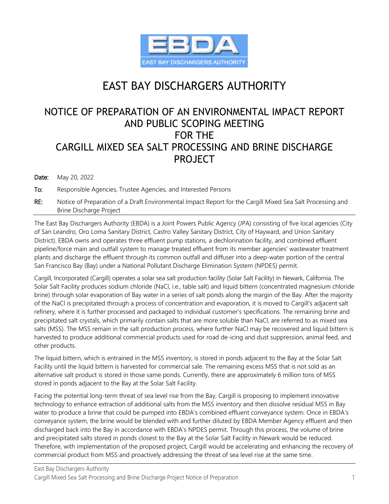

# EAST BAY DISCHARGERS AUTHORITY

# NOTICE OF PREPARATION OF AN ENVIRONMENTAL IMPACT REPORT AND PUBLIC SCOPING MEETING FOR THE CARGILL MIXED SEA SALT PROCESSING AND BRINE DISCHARGE PROJECT

#### Date: May 20, 2022

To: Responsible Agencies, Trustee Agencies, and Interested Persons

RE: Notice of Preparation of a Draft Environmental Impact Report for the Cargill Mixed Sea Salt Processing and Brine Discharge Project

The East Bay Dischargers Authority (EBDA) is a Joint Powers Public Agency (JPA) consisting of five local agencies (City of San Leandro, Oro Loma Sanitary District, Castro Valley Sanitary District, City of Hayward, and Union Sanitary District). EBDA owns and operates three effluent pump stations, a dechlorination facility, and combined effluent pipeline/force main and outfall system to manage treated effluent from its member agencies' wastewater treatment plants and discharge the effluent through its common outfall and diffuser into a deep-water portion of the central San Francisco Bay (Bay) under a National Pollutant Discharge Elimination System (NPDES) permit.

Cargill, Incorporated (Cargill) operates a solar sea salt production facility (Solar Salt Facility) in Newark, California. The Solar Salt Facility produces sodium chloride (NaCl, i.e., table salt) and liquid bittern (concentrated magnesium chloride brine) through solar evaporation of Bay water in a series of salt ponds along the margin of the Bay. After the majority of the NaCl is precipitated through a process of concentration and evaporation, it is moved to Cargill's adjacent salt refinery, where it is further processed and packaged to individual customer's specifications. The remaining brine and precipitated salt crystals, which primarily contain salts that are more soluble than NaCl, are referred to as mixed sea salts (MSS). The MSS remain in the salt production process, where further NaCl may be recovered and liquid bittern is harvested to produce additional commercial products used for road de-icing and dust suppression, animal feed, and other products.

The liquid bittern, which is entrained in the MSS inventory, is stored in ponds adjacent to the Bay at the Solar Salt Facility until the liquid bittern is harvested for commercial sale. The remaining excess MSS that is not sold as an alternative salt product is stored in those same ponds. Currently, there are approximately 6 million tons of MSS stored in ponds adjacent to the Bay at the Solar Salt Facility.

Facing the potential long-term threat of sea level rise from the Bay, Cargill is proposing to implement innovative technology to enhance extraction of additional salts from the MSS inventory and then dissolve residual MSS in Bay water to produce a brine that could be pumped into EBDA's combined effluent conveyance system. Once in EBDA's conveyance system, the brine would be blended with and further diluted by EBDA Member Agency effluent and then discharged back into the Bay in accordance with EBDA's NPDES permit. Through this process, the volume of brine and precipitated salts stored in ponds closest to the Bay at the Solar Salt Facility in Newark would be reduced. Therefore, with implementation of the proposed project, Cargill would be accelerating and enhancing the recovery of commercial product from MSS and proactively addressing the threat of sea level rise at the same time.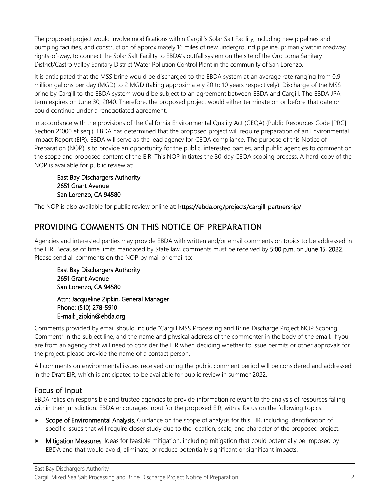The proposed project would involve modifications within Cargill's Solar Salt Facility, including new pipelines and pumping facilities, and construction of approximately 16 miles of new underground pipeline, primarily within roadway rights-of-way, to connect the Solar Salt Facility to EBDA's outfall system on the site of the Oro Loma Sanitary District/Castro Valley Sanitary District Water Pollution Control Plant in the community of San Lorenzo.

It is anticipated that the MSS brine would be discharged to the EBDA system at an average rate ranging from 0.9 million gallons per day (MGD) to 2 MGD (taking approximately 20 to 10 years respectively). Discharge of the MSS brine by Cargill to the EBDA system would be subject to an agreement between EBDA and Cargill. The EBDA JPA term expires on June 30, 2040. Therefore, the proposed project would either terminate on or before that date or could continue under a renegotiated agreement.

In accordance with the provisions of the California Environmental Quality Act (CEQA) (Public Resources Code [PRC] Section 21000 et seq.), EBDA has determined that the proposed project will require preparation of an Environmental Impact Report (EIR). EBDA will serve as the lead agency for CEQA compliance. The purpose of this Notice of Preparation (NOP) is to provide an opportunity for the public, interested parties, and public agencies to comment on the scope and proposed content of the EIR. This NOP initiates the 30-day CEQA scoping process. A hard-copy of the NOP is available for public review at:

#### East Bay Dischargers Authority 2651 Grant Avenue San Lorenzo, CA 94580

The NOP is also available for public review online at: https://ebda.org/projects/cargill-partnership/

### PROVIDING COMMENTS ON THIS NOTICE OF PREPARATION

Agencies and interested parties may provide EBDA with written and/or email comments on topics to be addressed in the EIR. Because of time limits mandated by State law, comments must be received by 5:00 p.m. on June 15, 2022. Please send all comments on the NOP by mail or email to:

East Bay Dischargers Authority 2651 Grant Avenue San Lorenzo, CA 94580

Attn: Jacqueline Zipkin, General Manager Phone: (510) 278-5910 E-mail: jzipkin@ebda.org

Comments provided by email should include "Cargill MSS Processing and Brine Discharge Project NOP Scoping Comment" in the subject line, and the name and physical address of the commenter in the body of the email. If you are from an agency that will need to consider the EIR when deciding whether to issue permits or other approvals for the project, please provide the name of a contact person.

All comments on environmental issues received during the public comment period will be considered and addressed in the Draft EIR, which is anticipated to be available for public review in summer 2022.

#### Focus of Input

EBDA relies on responsible and trustee agencies to provide information relevant to the analysis of resources falling within their jurisdiction. EBDA encourages input for the proposed EIR, with a focus on the following topics:

- Scope of Environmental Analysis. Guidance on the scope of analysis for this EIR, including identification of specific issues that will require closer study due to the location, scale, and character of the proposed project.
- **Mitigation Measures.** Ideas for feasible mitigation, including mitigation that could potentially be imposed by EBDA and that would avoid, eliminate, or reduce potentially significant or significant impacts.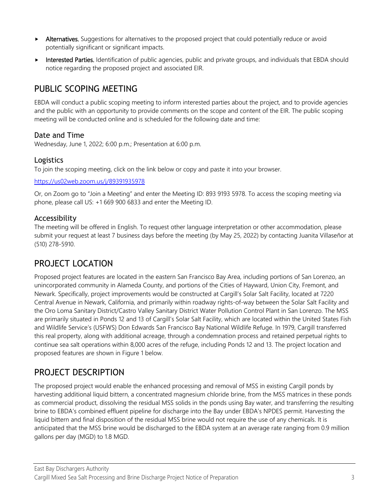- Alternatives. Suggestions for alternatives to the proposed project that could potentially reduce or avoid potentially significant or significant impacts.
- Interested Parties. Identification of public agencies, public and private groups, and individuals that EBDA should notice regarding the proposed project and associated EIR.

### PUBLIC SCOPING MEETING

EBDA will conduct a public scoping meeting to inform interested parties about the project, and to provide agencies and the public with an opportunity to provide comments on the scope and content of the EIR. The public scoping meeting will be conducted online and is scheduled for the following date and time:

#### Date and Time

Wednesday, June 1, 2022; 6:00 p.m.; Presentation at 6:00 p.m.

#### Logistics

To join the scoping meeting, click on the link below or copy and paste it into your browser.

#### [https://us02web.zoom.us/j/89391935978](https://nam11.safelinks.protection.outlook.com/?url=https%3A%2F%2Fus02web.zoom.us%2Fj%2F89391935978&data=05%7C01%7CAndrea.Shephard%40ascentenvironmental.com%7C65f5245e0db84ed0b32f08da32b49a5f%7C3e93c60a23514d15b2aa0753fd321028%7C0%7C0%7C637878048531991717%7CUnknown%7CTWFpbGZsb3d8eyJWIjoiMC4wLjAwMDAiLCJQIjoiV2luMzIiLCJBTiI6Ik1haWwiLCJXVCI6Mn0%3D%7C3000%7C%7C%7C&sdata=uKSZ9Q2INY8vuJ7LSovsi8ljuV5qEvZbmBSBA7671Ck%3D&reserved=0)

Or, on Zoom go to "Join a Meeting" and enter the Meeting ID: 893 9193 5978. To access the scoping meeting via phone, please call US: +1 669 900 6833 and enter the Meeting ID.

#### Accessibility

The meeting will be offered in English. To request other language interpretation or other accommodation, please submit your request at least 7 business days before the meeting (by May 25, 2022) by contacting Juanita Villaseñor at (510) 278-5910.

### PROJECT LOCATION

Proposed project features are located in the eastern San Francisco Bay Area, including portions of San Lorenzo, an unincorporated community in Alameda County, and portions of the Cities of Hayward, Union City, Fremont, and Newark. Specifically, project improvements would be constructed at Cargill's Solar Salt Facility, located at 7220 Central Avenue in Newark, California, and primarily within roadway rights-of-way between the Solar Salt Facility and the Oro Loma Sanitary District/Castro Valley Sanitary District Water Pollution Control Plant in San Lorenzo. The MSS are primarily situated in Ponds 12 and 13 of Cargill's Solar Salt Facility, which are located within the United States Fish and Wildlife Service's (USFWS) Don Edwards San Francisco Bay National Wildlife Refuge. In 1979, Cargill transferred this real property, along with additional acreage, through a condemnation process and retained perpetual rights to continue sea salt operations within 8,000 acres of the refuge, including Ponds 12 and 13. The project location and proposed features are shown in Figure 1 below.

### PROJECT DESCRIPTION

The proposed project would enable the enhanced processing and removal of MSS in existing Cargill ponds by harvesting additional liquid bittern, a concentrated magnesium chloride brine, from the MSS matrices in these ponds as commercial product, dissolving the residual MSS solids in the ponds using Bay water, and transferring the resulting brine to EBDA's combined effluent pipeline for discharge into the Bay under EBDA's NPDES permit. Harvesting the liquid bittern and final disposition of the residual MSS brine would not require the use of any chemicals. It is anticipated that the MSS brine would be discharged to the EBDA system at an average rate ranging from 0.9 million gallons per day (MGD) to 1.8 MGD.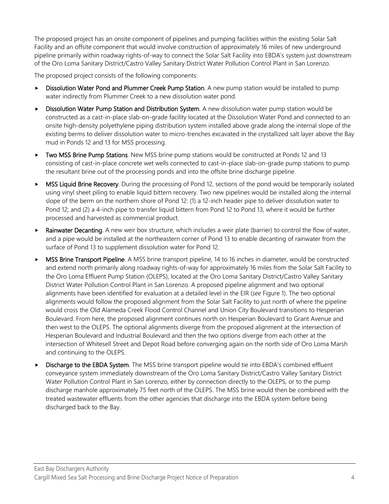The proposed project has an onsite component of pipelines and pumping facilities within the existing Solar Salt Facility and an offsite component that would involve construction of approximately 16 miles of new underground pipeline primarily within roadway rights-of-way to connect the Solar Salt Facility into EBDA's system just downstream of the Oro Loma Sanitary District/Castro Valley Sanitary District Water Pollution Control Plant in San Lorenzo.

The proposed project consists of the following components:

- Dissolution Water Pond and Plummer Creek Pump Station. A new pump station would be installed to pump water indirectly from Plummer Creek to a new dissolution water pond.
- **Dissolution Water Pump Station and Distribution System**. A new dissolution water pump station would be constructed as a cast-in-place slab-on-grade facility located at the Dissolution Water Pond and connected to an onsite high-density polyethylene piping distribution system installed above grade along the internal slope of the existing berms to deliver dissolution water to micro-trenches excavated in the crystallized salt layer above the Bay mud in Ponds 12 and 13 for MSS processing.
- ► Two MSS Brine Pump Stations. New MSS brine pump stations would be constructed at Ponds 12 and 13 consisting of cast-in-place concrete wet wells connected to cast-in-place slab-on-grade pump stations to pump the resultant brine out of the processing ponds and into the offsite brine discharge pipeline.
- MSS Liquid Brine Recovery. During the processing of Pond 12, sections of the pond would be temporarily isolated using vinyl sheet piling to enable liquid bittern recovery. Two new pipelines would be installed along the internal slope of the berm on the northern shore of Pond 12: (1) a 12-inch header pipe to deliver dissolution water to Pond 12; and (2) a 4-inch pipe to transfer liquid bittern from Pond 12 to Pond 13, where it would be further processed and harvested as commercial product.
- **Rainwater Decanting**. A new weir box structure, which includes a weir plate (barrier) to control the flow of water, and a pipe would be installed at the northeastern corner of Pond 13 to enable decanting of rainwater from the surface of Pond 13 to supplement dissolution water for Pond 12.
- MSS Brine Transport Pipeline. A MSS brine transport pipeline, 14 to 16 inches in diameter, would be constructed and extend north primarily along roadway rights-of-way for approximately 16 miles from the Solar Salt Facility to the Oro Loma Effluent Pump Station (OLEPS), located at the Oro Loma Sanitary District/Castro Valley Sanitary District Water Pollution Control Plant in San Lorenzo. A proposed pipeline alignment and two optional alignments have been identified for evaluation at a detailed level in the EIR (*see* Figure 1). The two optional alignments would follow the proposed alignment from the Solar Salt Facility to just north of where the pipeline would cross the Old Alameda Creek Flood Control Channel and Union City Boulevard transitions to Hesperian Boulevard. From here, the proposed alignment continues north on Hesperian Boulevard to Grant Avenue and then west to the OLEPS. The optional alignments diverge from the proposed alignment at the intersection of Hesperian Boulevard and Industrial Boulevard and then the two options diverge from each other at the intersection of Whitesell Street and Depot Road before converging again on the north side of Oro Loma Marsh and continuing to the OLEPS.
- Discharge to the EBDA System. The MSS brine transport pipeline would tie into EBDA's combined effluent conveyance system immediately downstream of the Oro Loma Sanitary District/Castro Valley Sanitary District Water Pollution Control Plant in San Lorenzo, either by connection directly to the OLEPS, or to the pump discharge manhole approximately 75 feet north of the OLEPS. The MSS brine would then be combined with the treated wastewater effluents from the other agencies that discharge into the EBDA system before being discharged back to the Bay.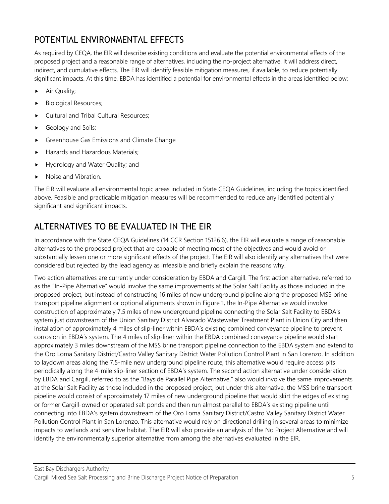# POTENTIAL ENVIRONMENTAL EFFECTS

As required by CEQA, the EIR will describe existing conditions and evaluate the potential environmental effects of the proposed project and a reasonable range of alternatives, including the no-project alternative. It will address direct, indirect, and cumulative effects. The EIR will identify feasible mitigation measures, if available, to reduce potentially significant impacts. At this time, EBDA has identified a potential for environmental effects in the areas identified below:

- Air Quality;
- Biological Resources;
- Cultural and Tribal Cultural Resources;
- Geology and Soils;
- Greenhouse Gas Emissions and Climate Change
- Hazards and Hazardous Materials;
- Hydrology and Water Quality; and
- Noise and Vibration.

The EIR will evaluate all environmental topic areas included in State CEQA Guidelines, including the topics identified above. Feasible and practicable mitigation measures will be recommended to reduce any identified potentially significant and significant impacts.

# ALTERNATIVES TO BE EVALUATED IN THE EIR

In accordance with the State CEQA Guidelines (14 CCR Section 15126.6), the EIR will evaluate a range of reasonable alternatives to the proposed project that are capable of meeting most of the objectives and would avoid or substantially lessen one or more significant effects of the project. The EIR will also identify any alternatives that were considered but rejected by the lead agency as infeasible and briefly explain the reasons why.

Two action alternatives are currently under consideration by EBDA and Cargill. The first action alternative, referred to as the "In-Pipe Alternative" would involve the same improvements at the Solar Salt Facility as those included in the proposed project, but instead of constructing 16 miles of new underground pipeline along the proposed MSS brine transport pipeline alignment or optional alignments shown in Figure 1, the In-Pipe Alternative would involve construction of approximately 7.5 miles of new underground pipeline connecting the Solar Salt Facility to EBDA's system just downstream of the Union Sanitary District Alvarado Wastewater Treatment Plant in Union City and then installation of approximately 4 miles of slip-liner within EBDA's existing combined conveyance pipeline to prevent corrosion in EBDA's system. The 4 miles of slip-liner within the EBDA combined conveyance pipeline would start approximately 3 miles downstream of the MSS brine transport pipeline connection to the EBDA system and extend to the Oro Loma Sanitary District/Castro Valley Sanitary District Water Pollution Control Plant in San Lorenzo. In addition to laydown areas along the 7.5-mile new underground pipeline route, this alternative would require access pits periodically along the 4-mile slip-liner section of EBDA's system. The second action alternative under consideration by EBDA and Cargill, referred to as the "Bayside Parallel Pipe Alternative," also would involve the same improvements at the Solar Salt Facility as those included in the proposed project, but under this alternative, the MSS brine transport pipeline would consist of approximately 17 miles of new underground pipeline that would skirt the edges of existing or former Cargill-owned or operated salt ponds and then run almost parallel to EBDA's existing pipeline until connecting into EBDA's system downstream of the Oro Loma Sanitary District/Castro Valley Sanitary District Water Pollution Control Plant in San Lorenzo. This alternative would rely on directional drilling in several areas to minimize impacts to wetlands and sensitive habitat. The EIR will also provide an analysis of the No Project Alternative and will identify the environmentally superior alternative from among the alternatives evaluated in the EIR.